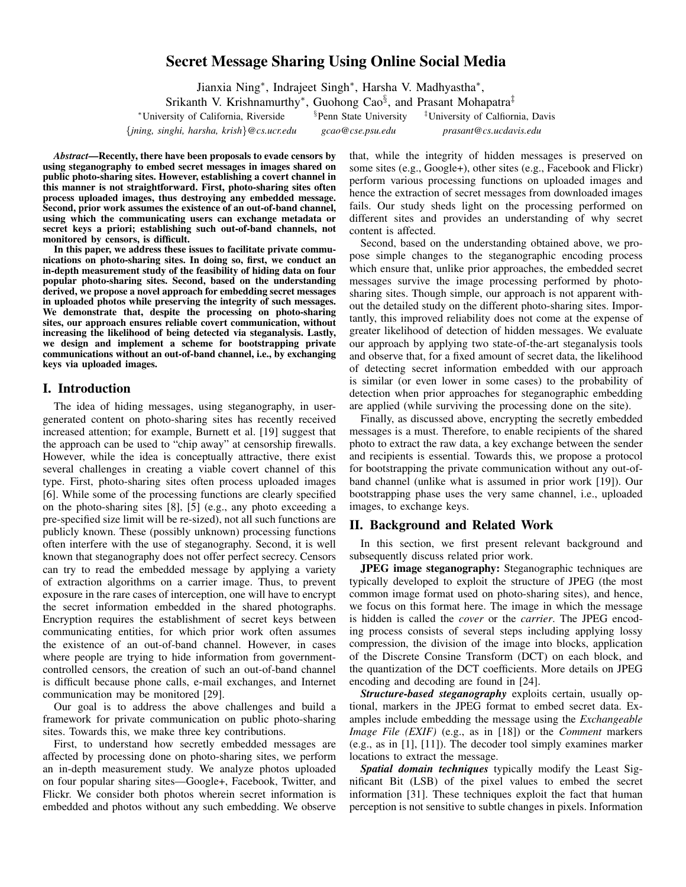# Secret Message Sharing Using Online Social Media

Jianxia Ning<sup>\*</sup>, Indrajeet Singh<sup>\*</sup>, Harsha V. Madhyastha<sup>\*</sup>,

Srikanth V. Krishnamurthy<sup>∗</sup>, Guohong Cao<sup>§</sup>, and Prasant Mohapatra<sup>‡</sup>

<sup>∗</sup>University of California, Riverside §

<sup>‡</sup>University of Calfiornia, Davis {*jning, singhi, harsha, krish*}*@cs.ucr.edu gcao@cse.psu.edu prasant@cs.ucdavis.edu*

*Abstract*—Recently, there have been proposals to evade censors by using steganography to embed secret messages in images shared on public photo-sharing sites. However, establishing a covert channel in this manner is not straightforward. First, photo-sharing sites often process uploaded images, thus destroying any embedded message. Second, prior work assumes the existence of an out-of-band channel, using which the communicating users can exchange metadata or secret keys a priori; establishing such out-of-band channels, not monitored by censors, is difficult.

In this paper, we address these issues to facilitate private communications on photo-sharing sites. In doing so, first, we conduct an in-depth measurement study of the feasibility of hiding data on four popular photo-sharing sites. Second, based on the understanding derived, we propose a novel approach for embedding secret messages in uploaded photos while preserving the integrity of such messages. We demonstrate that, despite the processing on photo-sharing sites, our approach ensures reliable covert communication, without increasing the likelihood of being detected via steganalysis. Lastly, we design and implement a scheme for bootstrapping private communications without an out-of-band channel, i.e., by exchanging keys via uploaded images.

# I. Introduction

The idea of hiding messages, using steganography, in usergenerated content on photo-sharing sites has recently received increased attention; for example, Burnett et al. [19] suggest that the approach can be used to "chip away" at censorship firewalls. However, while the idea is conceptually attractive, there exist several challenges in creating a viable covert channel of this type. First, photo-sharing sites often process uploaded images [6]. While some of the processing functions are clearly specified on the photo-sharing sites [8], [5] (e.g., any photo exceeding a pre-specified size limit will be re-sized), not all such functions are publicly known. These (possibly unknown) processing functions often interfere with the use of steganography. Second, it is well known that steganography does not offer perfect secrecy. Censors can try to read the embedded message by applying a variety of extraction algorithms on a carrier image. Thus, to prevent exposure in the rare cases of interception, one will have to encrypt the secret information embedded in the shared photographs. Encryption requires the establishment of secret keys between communicating entities, for which prior work often assumes the existence of an out-of-band channel. However, in cases where people are trying to hide information from governmentcontrolled censors, the creation of such an out-of-band channel is difficult because phone calls, e-mail exchanges, and Internet communication may be monitored [29].

Our goal is to address the above challenges and build a framework for private communication on public photo-sharing sites. Towards this, we make three key contributions.

First, to understand how secretly embedded messages are affected by processing done on photo-sharing sites, we perform an in-depth measurement study. We analyze photos uploaded on four popular sharing sites—Google+, Facebook, Twitter, and Flickr. We consider both photos wherein secret information is embedded and photos without any such embedding. We observe

that, while the integrity of hidden messages is preserved on some sites (e.g., Google+), other sites (e.g., Facebook and Flickr) perform various processing functions on uploaded images and hence the extraction of secret messages from downloaded images fails. Our study sheds light on the processing performed on different sites and provides an understanding of why secret content is affected.

Second, based on the understanding obtained above, we propose simple changes to the steganographic encoding process which ensure that, unlike prior approaches, the embedded secret messages survive the image processing performed by photosharing sites. Though simple, our approach is not apparent without the detailed study on the different photo-sharing sites. Importantly, this improved reliability does not come at the expense of greater likelihood of detection of hidden messages. We evaluate our approach by applying two state-of-the-art steganalysis tools and observe that, for a fixed amount of secret data, the likelihood of detecting secret information embedded with our approach is similar (or even lower in some cases) to the probability of detection when prior approaches for steganographic embedding are applied (while surviving the processing done on the site).

Finally, as discussed above, encrypting the secretly embedded messages is a must. Therefore, to enable recipients of the shared photo to extract the raw data, a key exchange between the sender and recipients is essential. Towards this, we propose a protocol for bootstrapping the private communication without any out-ofband channel (unlike what is assumed in prior work [19]). Our bootstrapping phase uses the very same channel, i.e., uploaded images, to exchange keys.

# II. Background and Related Work

In this section, we first present relevant background and subsequently discuss related prior work.

JPEG image steganography: Steganographic techniques are typically developed to exploit the structure of JPEG (the most common image format used on photo-sharing sites), and hence, we focus on this format here. The image in which the message is hidden is called the *cover* or the *carrier*. The JPEG encoding process consists of several steps including applying lossy compression, the division of the image into blocks, application of the Discrete Consine Transform (DCT) on each block, and the quantization of the DCT coefficients. More details on JPEG encoding and decoding are found in [24].

*Structure-based steganography* exploits certain, usually optional, markers in the JPEG format to embed secret data. Examples include embedding the message using the *Exchangeable Image File (EXIF)* (e.g., as in [18]) or the *Comment* markers (e.g., as in [1], [11]). The decoder tool simply examines marker locations to extract the message.

*Spatial domain techniques* typically modify the Least Significant Bit (LSB) of the pixel values to embed the secret information [31]. These techniques exploit the fact that human perception is not sensitive to subtle changes in pixels. Information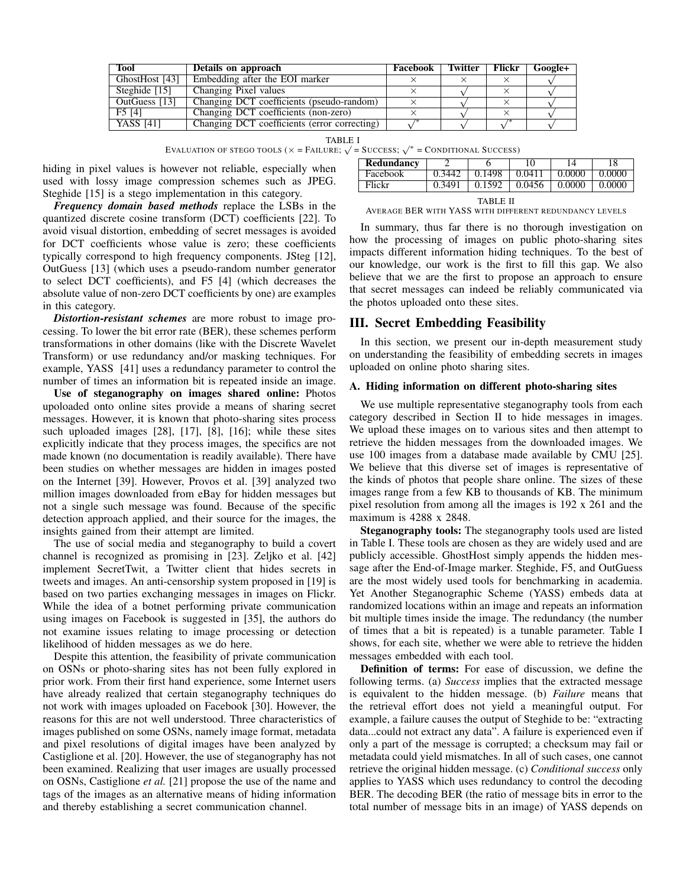| <b>Tool</b>                        | Details on approach                          | <b>Facebook</b> | Twitter   Flickr | Google+ |
|------------------------------------|----------------------------------------------|-----------------|------------------|---------|
| $\overline{\text{GhostHost}}$ [43] | Embedding after the EOI marker               |                 |                  |         |
| Steghide [15]                      | Changing Pixel values                        |                 |                  |         |
| OutGuess [13]                      | Changing DCT coefficients (pseudo-random)    |                 |                  |         |
| F5[4]                              | Changing DCT coefficients (non-zero)         |                 |                  |         |
| <b>YASS [41]</b>                   | Changing DCT coefficients (error correcting) |                 |                  |         |

TABLE I √

EVALUATION OF STEGO TOOLS (× = FAILURE; = SUCCESS; <sup>√</sup><sup>∗</sup> = CONDITIONAL <sup>S</sup>UCCESS)

hiding in pixel values is however not reliable, especially when used with lossy image compression schemes such as JPEG. Steghide [15] is a stego implementation in this category.

| Redundancy |        |        |       |         |  |  |  |
|------------|--------|--------|-------|---------|--|--|--|
| Facebook   |        | 0.1498 | 0.041 | ').0000 |  |  |  |
| Flickr     | 0.0000 |        |       |         |  |  |  |
| TABLE.     |        |        |       |         |  |  |  |

AVERAGE BER WITH YASS WITH DIFFERENT REDUNDANCY LEVELS

*Frequency domain based methods* replace the LSBs in the quantized discrete cosine transform (DCT) coefficients [22]. To avoid visual distortion, embedding of secret messages is avoided for DCT coefficients whose value is zero; these coefficients typically correspond to high frequency components. JSteg [12], OutGuess [13] (which uses a pseudo-random number generator to select DCT coefficients), and F5 [4] (which decreases the absolute value of non-zero DCT coefficients by one) are examples in this category.

*Distortion-resistant schemes* are more robust to image processing. To lower the bit error rate (BER), these schemes perform transformations in other domains (like with the Discrete Wavelet Transform) or use redundancy and/or masking techniques. For example, YASS [41] uses a redundancy parameter to control the number of times an information bit is repeated inside an image.

Use of steganography on images shared online: Photos upoloaded onto online sites provide a means of sharing secret messages. However, it is known that photo-sharing sites process such uploaded images [28], [17], [8], [16]; while these sites explicitly indicate that they process images, the specifics are not made known (no documentation is readily available). There have been studies on whether messages are hidden in images posted on the Internet [39]. However, Provos et al. [39] analyzed two million images downloaded from eBay for hidden messages but not a single such message was found. Because of the specific detection approach applied, and their source for the images, the insights gained from their attempt are limited.

The use of social media and steganography to build a covert channel is recognized as promising in [23]. Zeljko et al. [42] implement SecretTwit, a Twitter client that hides secrets in tweets and images. An anti-censorship system proposed in [19] is based on two parties exchanging messages in images on Flickr. While the idea of a botnet performing private communication using images on Facebook is suggested in [35], the authors do not examine issues relating to image processing or detection likelihood of hidden messages as we do here.

Despite this attention, the feasibility of private communication on OSNs or photo-sharing sites has not been fully explored in prior work. From their first hand experience, some Internet users have already realized that certain steganography techniques do not work with images uploaded on Facebook [30]. However, the reasons for this are not well understood. Three characteristics of images published on some OSNs, namely image format, metadata and pixel resolutions of digital images have been analyzed by Castiglione et al. [20]. However, the use of steganography has not been examined. Realizing that user images are usually processed on OSNs, Castiglione *et al.* [21] propose the use of the name and tags of the images as an alternative means of hiding information and thereby establishing a secret communication channel.

In summary, thus far there is no thorough investigation on how the processing of images on public photo-sharing sites impacts different information hiding techniques. To the best of our knowledge, our work is the first to fill this gap. We also believe that we are the first to propose an approach to ensure that secret messages can indeed be reliably communicated via the photos uploaded onto these sites.

# III. Secret Embedding Feasibility

In this section, we present our in-depth measurement study on understanding the feasibility of embedding secrets in images uploaded on online photo sharing sites.

### A. Hiding information on different photo-sharing sites

We use multiple representative steganography tools from each category described in Section II to hide messages in images. We upload these images on to various sites and then attempt to retrieve the hidden messages from the downloaded images. We use 100 images from a database made available by CMU [25]. We believe that this diverse set of images is representative of the kinds of photos that people share online. The sizes of these images range from a few KB to thousands of KB. The minimum pixel resolution from among all the images is 192 x 261 and the maximum is 4288 x 2848.

Steganography tools: The steganography tools used are listed in Table I. These tools are chosen as they are widely used and are publicly accessible. GhostHost simply appends the hidden message after the End-of-Image marker. Steghide, F5, and OutGuess are the most widely used tools for benchmarking in academia. Yet Another Steganographic Scheme (YASS) embeds data at randomized locations within an image and repeats an information bit multiple times inside the image. The redundancy (the number of times that a bit is repeated) is a tunable parameter. Table I shows, for each site, whether we were able to retrieve the hidden messages embedded with each tool.

Definition of terms: For ease of discussion, we define the following terms. (a) *Success* implies that the extracted message is equivalent to the hidden message. (b) *Failure* means that the retrieval effort does not yield a meaningful output. For example, a failure causes the output of Steghide to be: "extracting data...could not extract any data". A failure is experienced even if only a part of the message is corrupted; a checksum may fail or metadata could yield mismatches. In all of such cases, one cannot retrieve the original hidden message. (c) *Conditional success* only applies to YASS which uses redundancy to control the decoding BER. The decoding BER (the ratio of message bits in error to the total number of message bits in an image) of YASS depends on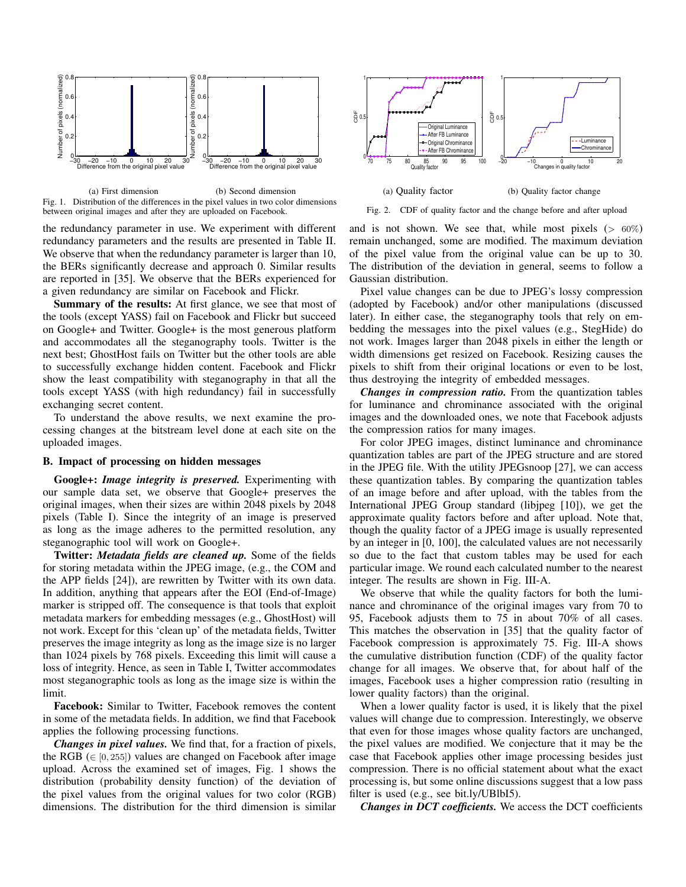

Fig. 1. Distribution of the differences in the pixel values in two color dimensions between original images and after they are uploaded on Facebook.

the redundancy parameter in use. We experiment with different redundancy parameters and the results are presented in Table II. We observe that when the redundancy parameter is larger than 10, the BERs significantly decrease and approach 0. Similar results are reported in [35]. We observe that the BERs experienced for a given redundancy are similar on Facebook and Flickr.

Summary of the results: At first glance, we see that most of the tools (except YASS) fail on Facebook and Flickr but succeed on Google+ and Twitter. Google+ is the most generous platform and accommodates all the steganography tools. Twitter is the next best; GhostHost fails on Twitter but the other tools are able to successfully exchange hidden content. Facebook and Flickr show the least compatibility with steganography in that all the tools except YASS (with high redundancy) fail in successfully exchanging secret content.

To understand the above results, we next examine the processing changes at the bitstream level done at each site on the uploaded images.

#### B. Impact of processing on hidden messages

Google+: *Image integrity is preserved.* Experimenting with our sample data set, we observe that Google+ preserves the original images, when their sizes are within 2048 pixels by 2048 pixels (Table I). Since the integrity of an image is preserved as long as the image adheres to the permitted resolution, any steganographic tool will work on Google+.

Twitter: *Metadata fields are cleaned up.* Some of the fields for storing metadata within the JPEG image, (e.g., the COM and the APP fields [24]), are rewritten by Twitter with its own data. In addition, anything that appears after the EOI (End-of-Image) marker is stripped off. The consequence is that tools that exploit metadata markers for embedding messages (e.g., GhostHost) will not work. Except for this 'clean up' of the metadata fields, Twitter preserves the image integrity as long as the image size is no larger than 1024 pixels by 768 pixels. Exceeding this limit will cause a loss of integrity. Hence, as seen in Table I, Twitter accommodates most steganographic tools as long as the image size is within the limit.

Facebook: Similar to Twitter, Facebook removes the content in some of the metadata fields. In addition, we find that Facebook applies the following processing functions.

*Changes in pixel values.* We find that, for a fraction of pixels, the RGB ( $\in$  [0, 255]) values are changed on Facebook after image upload. Across the examined set of images, Fig. 1 shows the distribution (probability density function) of the deviation of the pixel values from the original values for two color (RGB) dimensions. The distribution for the third dimension is similar



Fig. 2. CDF of quality factor and the change before and after upload

and is not shown. We see that, while most pixels  $(> 60\%)$ remain unchanged, some are modified. The maximum deviation of the pixel value from the original value can be up to 30. The distribution of the deviation in general, seems to follow a Gaussian distribution.

Pixel value changes can be due to JPEG's lossy compression (adopted by Facebook) and/or other manipulations (discussed later). In either case, the steganography tools that rely on embedding the messages into the pixel values (e.g., StegHide) do not work. Images larger than 2048 pixels in either the length or width dimensions get resized on Facebook. Resizing causes the pixels to shift from their original locations or even to be lost, thus destroying the integrity of embedded messages.

*Changes in compression ratio.* From the quantization tables for luminance and chrominance associated with the original images and the downloaded ones, we note that Facebook adjusts the compression ratios for many images.

For color JPEG images, distinct luminance and chrominance quantization tables are part of the JPEG structure and are stored in the JPEG file. With the utility JPEGsnoop [27], we can access these quantization tables. By comparing the quantization tables of an image before and after upload, with the tables from the International JPEG Group standard (libjpeg [10]), we get the approximate quality factors before and after upload. Note that, though the quality factor of a JPEG image is usually represented by an integer in [0, 100], the calculated values are not necessarily so due to the fact that custom tables may be used for each particular image. We round each calculated number to the nearest integer. The results are shown in Fig. III-A.

We observe that while the quality factors for both the luminance and chrominance of the original images vary from 70 to 95, Facebook adjusts them to 75 in about 70% of all cases. This matches the observation in [35] that the quality factor of Facebook compression is approximately 75. Fig. III-A shows the cumulative distribution function (CDF) of the quality factor change for all images. We observe that, for about half of the images, Facebook uses a higher compression ratio (resulting in lower quality factors) than the original.

When a lower quality factor is used, it is likely that the pixel values will change due to compression. Interestingly, we observe that even for those images whose quality factors are unchanged, the pixel values are modified. We conjecture that it may be the case that Facebook applies other image processing besides just compression. There is no official statement about what the exact processing is, but some online discussions suggest that a low pass filter is used (e.g., see bit.ly/UBlbI5).

*Changes in DCT coefficients.* We access the DCT coefficients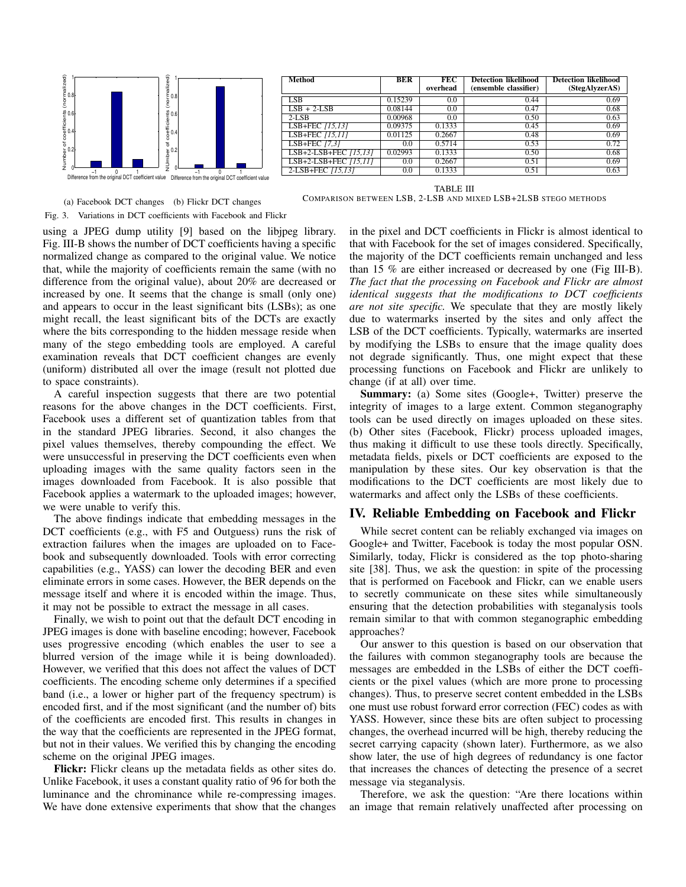

| Method                  | BER     | FEC      | <b>Detection likelihood</b> | <b>Detection likelihood</b> |
|-------------------------|---------|----------|-----------------------------|-----------------------------|
|                         |         | overhead | (ensemble classifier)       | (StegAlyzerAS)              |
| LSB                     | 0.15239 | 0.0      | 0.44                        | 0.69                        |
| $LSB + 2-LSB$           | 0.08144 | 0.0      | 0.47                        | 0.68                        |
| $2$ -LSB                | 0.00968 | 0.0      | 0.50                        | 0.63                        |
| $LSB + FEC$ [15,13]     | 0.09375 | 0.1333   | 0.45                        | 0.69                        |
| LSB+FEC [15,11]         | 0.01125 | 0.2667   | 0.48                        | 0.69                        |
| LSB+FEC $[7,3]$         | 0.0     | 0.5714   | 0.53                        | 0.72                        |
| $LSB+2-LSB+FEC$ [15,13] | 0.02993 | 0.1333   | 0.50                        | 0.68                        |
| LSB+2-LSB+FEC [15,11]   | 0.0     | 0.2667   | 0.51                        | 0.69                        |
| $2$ -LSB+FEC $[15, 13]$ | 0.0     | 0.1333   | 0.51                        | 0.63                        |
|                         |         |          |                             |                             |

TABLE III

COMPARISON BETWEEN LSB, 2-LSB AND MIXED LSB+2LSB STEGO METHODS

(a) Facebook DCT changes (b) Flickr DCT changes Fig. 3. Variations in DCT coefficients with Facebook and Flickr

using a JPEG dump utility [9] based on the libjpeg library. Fig. III-B shows the number of DCT coefficients having a specific normalized change as compared to the original value. We notice that, while the majority of coefficients remain the same (with no difference from the original value), about 20% are decreased or increased by one. It seems that the change is small (only one) and appears to occur in the least significant bits (LSBs); as one might recall, the least significant bits of the DCTs are exactly where the bits corresponding to the hidden message reside when many of the stego embedding tools are employed. A careful examination reveals that DCT coefficient changes are evenly (uniform) distributed all over the image (result not plotted due to space constraints).

A careful inspection suggests that there are two potential reasons for the above changes in the DCT coefficients. First, Facebook uses a different set of quantization tables from that in the standard JPEG libraries. Second, it also changes the pixel values themselves, thereby compounding the effect. We were unsuccessful in preserving the DCT coefficients even when uploading images with the same quality factors seen in the images downloaded from Facebook. It is also possible that Facebook applies a watermark to the uploaded images; however, we were unable to verify this.

The above findings indicate that embedding messages in the DCT coefficients (e.g., with F5 and Outguess) runs the risk of extraction failures when the images are uploaded on to Facebook and subsequently downloaded. Tools with error correcting capabilities (e.g., YASS) can lower the decoding BER and even eliminate errors in some cases. However, the BER depends on the message itself and where it is encoded within the image. Thus, it may not be possible to extract the message in all cases.

Finally, we wish to point out that the default DCT encoding in JPEG images is done with baseline encoding; however, Facebook uses progressive encoding (which enables the user to see a blurred version of the image while it is being downloaded). However, we verified that this does not affect the values of DCT coefficients. The encoding scheme only determines if a specified band (i.e., a lower or higher part of the frequency spectrum) is encoded first, and if the most significant (and the number of) bits of the coefficients are encoded first. This results in changes in the way that the coefficients are represented in the JPEG format, but not in their values. We verified this by changing the encoding scheme on the original JPEG images.

Flickr: Flickr cleans up the metadata fields as other sites do. Unlike Facebook, it uses a constant quality ratio of 96 for both the luminance and the chrominance while re-compressing images. We have done extensive experiments that show that the changes in the pixel and DCT coefficients in Flickr is almost identical to that with Facebook for the set of images considered. Specifically, the majority of the DCT coefficients remain unchanged and less than 15 % are either increased or decreased by one (Fig III-B). *The fact that the processing on Facebook and Flickr are almost identical suggests that the modifications to DCT coefficients are not site specific.* We speculate that they are mostly likely due to watermarks inserted by the sites and only affect the LSB of the DCT coefficients. Typically, watermarks are inserted by modifying the LSBs to ensure that the image quality does not degrade significantly. Thus, one might expect that these processing functions on Facebook and Flickr are unlikely to change (if at all) over time.

Summary: (a) Some sites (Google+, Twitter) preserve the integrity of images to a large extent. Common steganography tools can be used directly on images uploaded on these sites. (b) Other sites (Facebook, Flickr) process uploaded images, thus making it difficult to use these tools directly. Specifically, metadata fields, pixels or DCT coefficients are exposed to the manipulation by these sites. Our key observation is that the modifications to the DCT coefficients are most likely due to watermarks and affect only the LSBs of these coefficients.

# IV. Reliable Embedding on Facebook and Flickr

While secret content can be reliably exchanged via images on Google+ and Twitter, Facebook is today the most popular OSN. Similarly, today, Flickr is considered as the top photo-sharing site [38]. Thus, we ask the question: in spite of the processing that is performed on Facebook and Flickr, can we enable users to secretly communicate on these sites while simultaneously ensuring that the detection probabilities with steganalysis tools remain similar to that with common steganographic embedding approaches?

Our answer to this question is based on our observation that the failures with common steganography tools are because the messages are embedded in the LSBs of either the DCT coefficients or the pixel values (which are more prone to processing changes). Thus, to preserve secret content embedded in the LSBs one must use robust forward error correction (FEC) codes as with YASS. However, since these bits are often subject to processing changes, the overhead incurred will be high, thereby reducing the secret carrying capacity (shown later). Furthermore, as we also show later, the use of high degrees of redundancy is one factor that increases the chances of detecting the presence of a secret message via steganalysis.

Therefore, we ask the question: "Are there locations within an image that remain relatively unaffected after processing on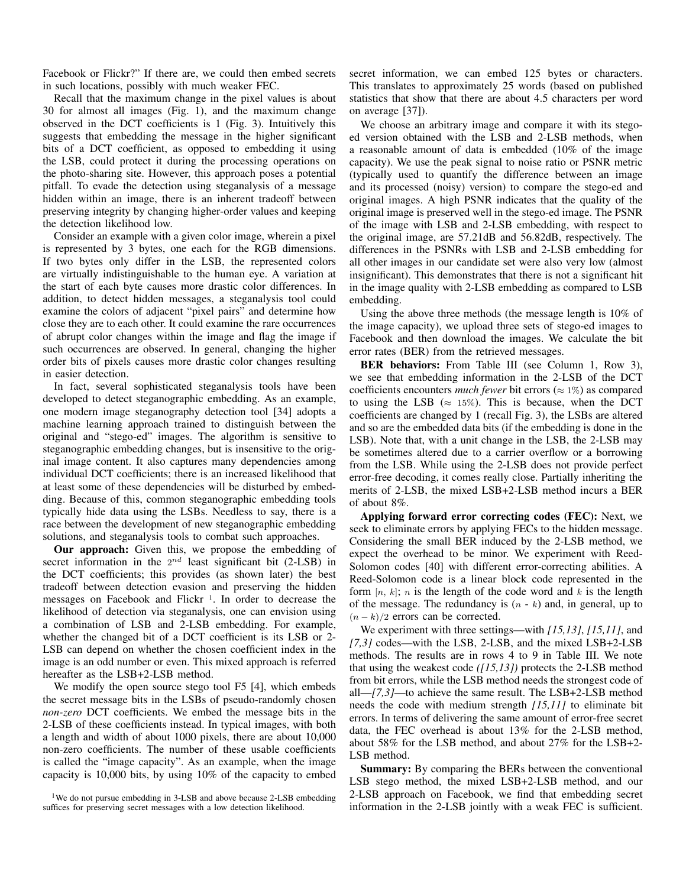Facebook or Flickr?" If there are, we could then embed secrets in such locations, possibly with much weaker FEC.

Recall that the maximum change in the pixel values is about 30 for almost all images (Fig. 1), and the maximum change observed in the DCT coefficients is 1 (Fig. 3). Intuitively this suggests that embedding the message in the higher significant bits of a DCT coefficient, as opposed to embedding it using the LSB, could protect it during the processing operations on the photo-sharing site. However, this approach poses a potential pitfall. To evade the detection using steganalysis of a message hidden within an image, there is an inherent tradeoff between preserving integrity by changing higher-order values and keeping the detection likelihood low.

Consider an example with a given color image, wherein a pixel is represented by 3 bytes, one each for the RGB dimensions. If two bytes only differ in the LSB, the represented colors are virtually indistinguishable to the human eye. A variation at the start of each byte causes more drastic color differences. In addition, to detect hidden messages, a steganalysis tool could examine the colors of adjacent "pixel pairs" and determine how close they are to each other. It could examine the rare occurrences of abrupt color changes within the image and flag the image if such occurrences are observed. In general, changing the higher order bits of pixels causes more drastic color changes resulting in easier detection.

In fact, several sophisticated steganalysis tools have been developed to detect steganographic embedding. As an example, one modern image steganography detection tool [34] adopts a machine learning approach trained to distinguish between the original and "stego-ed" images. The algorithm is sensitive to steganographic embedding changes, but is insensitive to the original image content. It also captures many dependencies among individual DCT coefficients; there is an increased likelihood that at least some of these dependencies will be disturbed by embedding. Because of this, common steganographic embedding tools typically hide data using the LSBs. Needless to say, there is a race between the development of new steganographic embedding solutions, and steganalysis tools to combat such approaches.

Our approach: Given this, we propose the embedding of secret information in the  $2^{nd}$  least significant bit (2-LSB) in the DCT coefficients; this provides (as shown later) the best tradeoff between detection evasion and preserving the hidden messages on Facebook and Flickr<sup>1</sup>. In order to decrease the likelihood of detection via steganalysis, one can envision using a combination of LSB and 2-LSB embedding. For example, whether the changed bit of a DCT coefficient is its LSB or 2- LSB can depend on whether the chosen coefficient index in the image is an odd number or even. This mixed approach is referred hereafter as the LSB+2-LSB method.

We modify the open source stego tool F5 [4], which embeds the secret message bits in the LSBs of pseudo-randomly chosen *non-zero* DCT coefficients. We embed the message bits in the 2-LSB of these coefficients instead. In typical images, with both a length and width of about 1000 pixels, there are about 10,000 non-zero coefficients. The number of these usable coefficients is called the "image capacity". As an example, when the image capacity is 10,000 bits, by using 10% of the capacity to embed secret information, we can embed 125 bytes or characters. This translates to approximately 25 words (based on published statistics that show that there are about 4.5 characters per word on average [37]).

We choose an arbitrary image and compare it with its stegoed version obtained with the LSB and 2-LSB methods, when a reasonable amount of data is embedded (10% of the image capacity). We use the peak signal to noise ratio or PSNR metric (typically used to quantify the difference between an image and its processed (noisy) version) to compare the stego-ed and original images. A high PSNR indicates that the quality of the original image is preserved well in the stego-ed image. The PSNR of the image with LSB and 2-LSB embedding, with respect to the original image, are 57.21dB and 56.82dB, respectively. The differences in the PSNRs with LSB and 2-LSB embedding for all other images in our candidate set were also very low (almost insignificant). This demonstrates that there is not a significant hit in the image quality with 2-LSB embedding as compared to LSB embedding.

Using the above three methods (the message length is 10% of the image capacity), we upload three sets of stego-ed images to Facebook and then download the images. We calculate the bit error rates (BER) from the retrieved messages.

**BER behaviors:** From Table III (see Column 1, Row 3), we see that embedding information in the 2-LSB of the DCT coefficients encounters *much fewer* bit errors ( $\approx 1\%$ ) as compared to using the LSB ( $\approx$  15%). This is because, when the DCT coefficients are changed by 1 (recall Fig. 3), the LSBs are altered and so are the embedded data bits (if the embedding is done in the LSB). Note that, with a unit change in the LSB, the 2-LSB may be sometimes altered due to a carrier overflow or a borrowing from the LSB. While using the 2-LSB does not provide perfect error-free decoding, it comes really close. Partially inheriting the merits of 2-LSB, the mixed LSB+2-LSB method incurs a BER of about 8%.

Applying forward error correcting codes (FEC): Next, we seek to eliminate errors by applying FECs to the hidden message. Considering the small BER induced by the 2-LSB method, we expect the overhead to be minor. We experiment with Reed-Solomon codes [40] with different error-correcting abilities. A Reed-Solomon code is a linear block code represented in the form  $[n, k]$ ; n is the length of the code word and k is the length of the message. The redundancy is  $(n - k)$  and, in general, up to  $(n - k)/2$  errors can be corrected.

We experiment with three settings—with *[15,13]*, *[15,11]*, and *[7,3]* codes—with the LSB, 2-LSB, and the mixed LSB+2-LSB methods. The results are in rows 4 to 9 in Table III. We note that using the weakest code *([15,13])* protects the 2-LSB method from bit errors, while the LSB method needs the strongest code of all—*[7,3]*—to achieve the same result. The LSB+2-LSB method needs the code with medium strength *[15,11]* to eliminate bit errors. In terms of delivering the same amount of error-free secret data, the FEC overhead is about 13% for the 2-LSB method, about 58% for the LSB method, and about 27% for the LSB+2- LSB method.

Summary: By comparing the BERs between the conventional LSB stego method, the mixed LSB+2-LSB method, and our 2-LSB approach on Facebook, we find that embedding secret information in the 2-LSB jointly with a weak FEC is sufficient.

<sup>&</sup>lt;sup>1</sup>We do not pursue embedding in 3-LSB and above because 2-LSB embedding suffices for preserving secret messages with a low detection likelihood.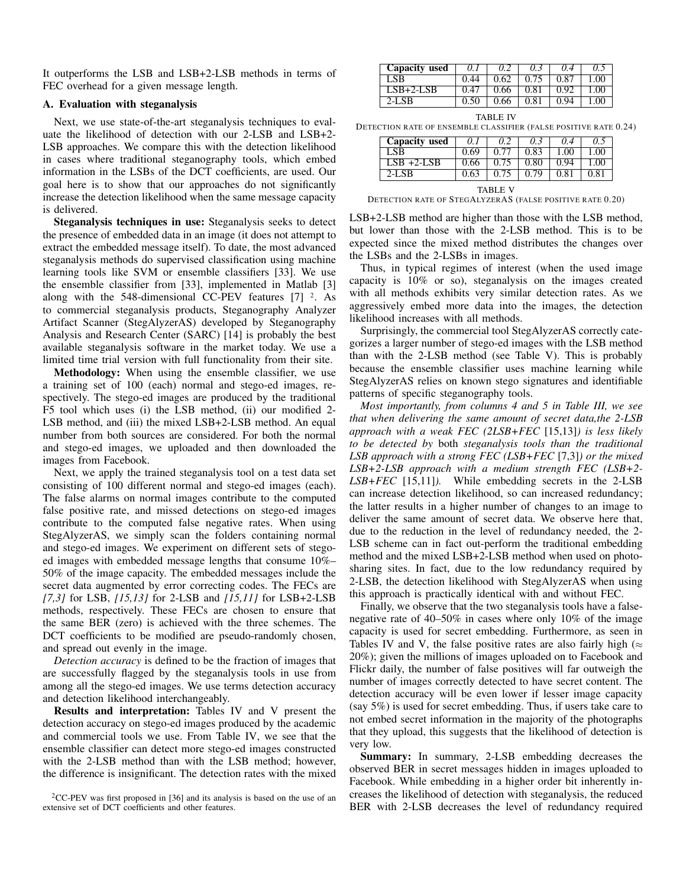It outperforms the LSB and LSB+2-LSB methods in terms of FEC overhead for a given message length.

### A. Evaluation with steganalysis

Next, we use state-of-the-art steganalysis techniques to evaluate the likelihood of detection with our 2-LSB and LSB+2- LSB approaches. We compare this with the detection likelihood in cases where traditional steganography tools, which embed information in the LSBs of the DCT coefficients, are used. Our goal here is to show that our approaches do not significantly increase the detection likelihood when the same message capacity is delivered.

Steganalysis techniques in use: Steganalysis seeks to detect the presence of embedded data in an image (it does not attempt to extract the embedded message itself). To date, the most advanced steganalysis methods do supervised classification using machine learning tools like SVM or ensemble classifiers [33]. We use the ensemble classifier from [33], implemented in Matlab [3] along with the 548-dimensional CC-PEV features  $[7]$  <sup>2</sup>. As to commercial steganalysis products, Steganography Analyzer Artifact Scanner (StegAlyzerAS) developed by Steganography Analysis and Research Center (SARC) [14] is probably the best available steganalysis software in the market today. We use a limited time trial version with full functionality from their site.

Methodology: When using the ensemble classifier, we use a training set of 100 (each) normal and stego-ed images, respectively. The stego-ed images are produced by the traditional F5 tool which uses (i) the LSB method, (ii) our modified 2- LSB method, and (iii) the mixed LSB+2-LSB method. An equal number from both sources are considered. For both the normal and stego-ed images, we uploaded and then downloaded the images from Facebook.

Next, we apply the trained steganalysis tool on a test data set consisting of 100 different normal and stego-ed images (each). The false alarms on normal images contribute to the computed false positive rate, and missed detections on stego-ed images contribute to the computed false negative rates. When using StegAlyzerAS, we simply scan the folders containing normal and stego-ed images. We experiment on different sets of stegoed images with embedded message lengths that consume 10%– 50% of the image capacity. The embedded messages include the secret data augmented by error correcting codes. The FECs are *[7,3]* for LSB, *[15,13]* for 2-LSB and *[15,11]* for LSB+2-LSB methods, respectively. These FECs are chosen to ensure that the same BER (zero) is achieved with the three schemes. The DCT coefficients to be modified are pseudo-randomly chosen, and spread out evenly in the image.

*Detection accuracy* is defined to be the fraction of images that are successfully flagged by the steganalysis tools in use from among all the stego-ed images. We use terms detection accuracy and detection likelihood interchangeably.

Results and interpretation: Tables IV and V present the detection accuracy on stego-ed images produced by the academic and commercial tools we use. From Table IV, we see that the ensemble classifier can detect more stego-ed images constructed with the 2-LSB method than with the LSB method; however, the difference is insignificant. The detection rates with the mixed

| Capacity used | 0. I |      | 0.5  |      |         |
|---------------|------|------|------|------|---------|
| LSB.          |      | 0.62 | 0.75 | 0.87 | (1)     |
| $LSB+2-LSB$   |      | 0.66 | 0.81 | 0.92 | $^{00}$ |
| $2-I$ SB      | 0.50 | 0.66 | 0.81 | 0.94 | 00      |

| <b>TABLE IV</b><br>DETECTION RATE OF ENSEMBLE CLASSIFIER (FALSE POSITIVE RATI |  |              |  |                 |    |  |  |
|-------------------------------------------------------------------------------|--|--------------|--|-----------------|----|--|--|
| <b>Capacity used</b> $\begin{bmatrix} 0.1 & 0.2 & 0.3 \end{bmatrix}$          |  |              |  | 04 <sup>1</sup> | 05 |  |  |
|                                                                               |  | $\sim$ $\pi$ |  |                 |    |  |  |

| DETECTION RATE OF ENSEMBLE CLASSIFIER (FALSE POSITIVE RATE 0.24) |  |
|------------------------------------------------------------------|--|
|------------------------------------------------------------------|--|

| Capacity used  |      |  |        | (1.4) |  |  |  |
|----------------|------|--|--------|-------|--|--|--|
| LSB            | 0.69 |  | 0.83   |       |  |  |  |
| $LSB +2-LSB$   | 0.66 |  | (1.80) |       |  |  |  |
| 2-LSB          | 0.65 |  |        |       |  |  |  |
| <b>TABLE V</b> |      |  |        |       |  |  |  |

DETECTION RATE OF STEGALYZERAS (FALSE POSITIVE RATE 0.20)

LSB+2-LSB method are higher than those with the LSB method, but lower than those with the 2-LSB method. This is to be expected since the mixed method distributes the changes over the LSBs and the 2-LSBs in images.

Thus, in typical regimes of interest (when the used image capacity is 10% or so), steganalysis on the images created with all methods exhibits very similar detection rates. As we aggressively embed more data into the images, the detection likelihood increases with all methods.

Surprisingly, the commercial tool StegAlyzerAS correctly categorizes a larger number of stego-ed images with the LSB method than with the 2-LSB method (see Table V). This is probably because the ensemble classifier uses machine learning while StegAlyzerAS relies on known stego signatures and identifiable patterns of specific steganography tools.

*Most importantly, from columns 4 and 5 in Table III, we see that when delivering the same amount of secret data,the 2-LSB approach with a weak FEC (2LSB+FEC* [15,13]*) is less likely to be detected by* both *steganalysis tools than the traditional LSB approach with a strong FEC (LSB+FEC* [7,3]*) or the mixed LSB+2-LSB approach with a medium strength FEC (LSB+2- LSB+FEC* [15,11]*).* While embedding secrets in the 2-LSB can increase detection likelihood, so can increased redundancy; the latter results in a higher number of changes to an image to deliver the same amount of secret data. We observe here that, due to the reduction in the level of redundancy needed, the 2- LSB scheme can in fact out-perform the traditional embedding method and the mixed LSB+2-LSB method when used on photosharing sites. In fact, due to the low redundancy required by 2-LSB, the detection likelihood with StegAlyzerAS when using this approach is practically identical with and without FEC.

Finally, we observe that the two steganalysis tools have a falsenegative rate of 40–50% in cases where only 10% of the image capacity is used for secret embedding. Furthermore, as seen in Tables IV and V, the false positive rates are also fairly high ( $\approx$ 20%); given the millions of images uploaded on to Facebook and Flickr daily, the number of false positives will far outweigh the number of images correctly detected to have secret content. The detection accuracy will be even lower if lesser image capacity (say 5%) is used for secret embedding. Thus, if users take care to not embed secret information in the majority of the photographs that they upload, this suggests that the likelihood of detection is very low.

Summary: In summary, 2-LSB embedding decreases the observed BER in secret messages hidden in images uploaded to Facebook. While embedding in a higher order bit inherently increases the likelihood of detection with steganalysis, the reduced BER with 2-LSB decreases the level of redundancy required

 $2$ CC-PEV was first proposed in [36] and its analysis is based on the use of an extensive set of DCT coefficients and other features.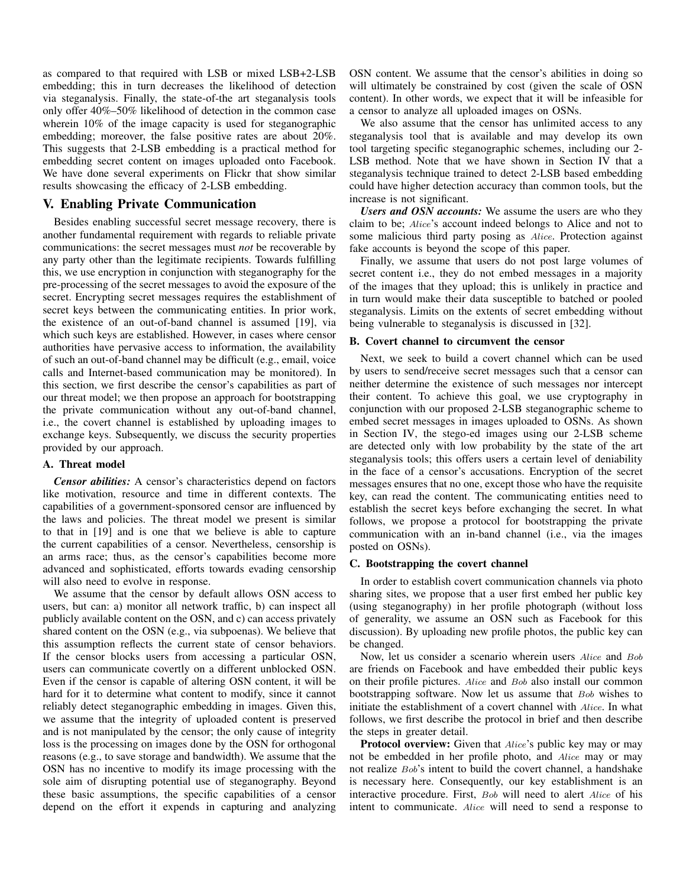as compared to that required with LSB or mixed LSB+2-LSB embedding; this in turn decreases the likelihood of detection via steganalysis. Finally, the state-of-the art steganalysis tools only offer 40%–50% likelihood of detection in the common case wherein 10% of the image capacity is used for steganographic embedding; moreover, the false positive rates are about 20%. This suggests that 2-LSB embedding is a practical method for embedding secret content on images uploaded onto Facebook. We have done several experiments on Flickr that show similar results showcasing the efficacy of 2-LSB embedding.

# V. Enabling Private Communication

Besides enabling successful secret message recovery, there is another fundamental requirement with regards to reliable private communications: the secret messages must *not* be recoverable by any party other than the legitimate recipients. Towards fulfilling this, we use encryption in conjunction with steganography for the pre-processing of the secret messages to avoid the exposure of the secret. Encrypting secret messages requires the establishment of secret keys between the communicating entities. In prior work, the existence of an out-of-band channel is assumed [19], via which such keys are established. However, in cases where censor authorities have pervasive access to information, the availability of such an out-of-band channel may be difficult (e.g., email, voice calls and Internet-based communication may be monitored). In this section, we first describe the censor's capabilities as part of our threat model; we then propose an approach for bootstrapping the private communication without any out-of-band channel, i.e., the covert channel is established by uploading images to exchange keys. Subsequently, we discuss the security properties provided by our approach.

### A. Threat model

*Censor abilities:* A censor's characteristics depend on factors like motivation, resource and time in different contexts. The capabilities of a government-sponsored censor are influenced by the laws and policies. The threat model we present is similar to that in [19] and is one that we believe is able to capture the current capabilities of a censor. Nevertheless, censorship is an arms race; thus, as the censor's capabilities become more advanced and sophisticated, efforts towards evading censorship will also need to evolve in response.

We assume that the censor by default allows OSN access to users, but can: a) monitor all network traffic, b) can inspect all publicly available content on the OSN, and c) can access privately shared content on the OSN (e.g., via subpoenas). We believe that this assumption reflects the current state of censor behaviors. If the censor blocks users from accessing a particular OSN, users can communicate covertly on a different unblocked OSN. Even if the censor is capable of altering OSN content, it will be hard for it to determine what content to modify, since it cannot reliably detect steganographic embedding in images. Given this, we assume that the integrity of uploaded content is preserved and is not manipulated by the censor; the only cause of integrity loss is the processing on images done by the OSN for orthogonal reasons (e.g., to save storage and bandwidth). We assume that the OSN has no incentive to modify its image processing with the sole aim of disrupting potential use of steganography. Beyond these basic assumptions, the specific capabilities of a censor depend on the effort it expends in capturing and analyzing

OSN content. We assume that the censor's abilities in doing so will ultimately be constrained by cost (given the scale of OSN content). In other words, we expect that it will be infeasible for a censor to analyze all uploaded images on OSNs.

We also assume that the censor has unlimited access to any steganalysis tool that is available and may develop its own tool targeting specific steganographic schemes, including our 2- LSB method. Note that we have shown in Section IV that a steganalysis technique trained to detect 2-LSB based embedding could have higher detection accuracy than common tools, but the increase is not significant.

*Users and OSN accounts:* We assume the users are who they claim to be; Alice's account indeed belongs to Alice and not to some malicious third party posing as Alice. Protection against fake accounts is beyond the scope of this paper.

Finally, we assume that users do not post large volumes of secret content i.e., they do not embed messages in a majority of the images that they upload; this is unlikely in practice and in turn would make their data susceptible to batched or pooled steganalysis. Limits on the extents of secret embedding without being vulnerable to steganalysis is discussed in [32].

### B. Covert channel to circumvent the censor

Next, we seek to build a covert channel which can be used by users to send/receive secret messages such that a censor can neither determine the existence of such messages nor intercept their content. To achieve this goal, we use cryptography in conjunction with our proposed 2-LSB steganographic scheme to embed secret messages in images uploaded to OSNs. As shown in Section IV, the stego-ed images using our 2-LSB scheme are detected only with low probability by the state of the art steganalysis tools; this offers users a certain level of deniability in the face of a censor's accusations. Encryption of the secret messages ensures that no one, except those who have the requisite key, can read the content. The communicating entities need to establish the secret keys before exchanging the secret. In what follows, we propose a protocol for bootstrapping the private communication with an in-band channel (i.e., via the images posted on OSNs).

# C. Bootstrapping the covert channel

In order to establish covert communication channels via photo sharing sites, we propose that a user first embed her public key (using steganography) in her profile photograph (without loss of generality, we assume an OSN such as Facebook for this discussion). By uploading new profile photos, the public key can be changed.

Now, let us consider a scenario wherein users Alice and Bob are friends on Facebook and have embedded their public keys on their profile pictures. Alice and Bob also install our common bootstrapping software. Now let us assume that Bob wishes to initiate the establishment of a covert channel with Alice. In what follows, we first describe the protocol in brief and then describe the steps in greater detail.

Protocol overview: Given that *Alice's* public key may or may not be embedded in her profile photo, and Alice may or may not realize Bob's intent to build the covert channel, a handshake is necessary here. Consequently, our key establishment is an interactive procedure. First, Bob will need to alert Alice of his intent to communicate. Alice will need to send a response to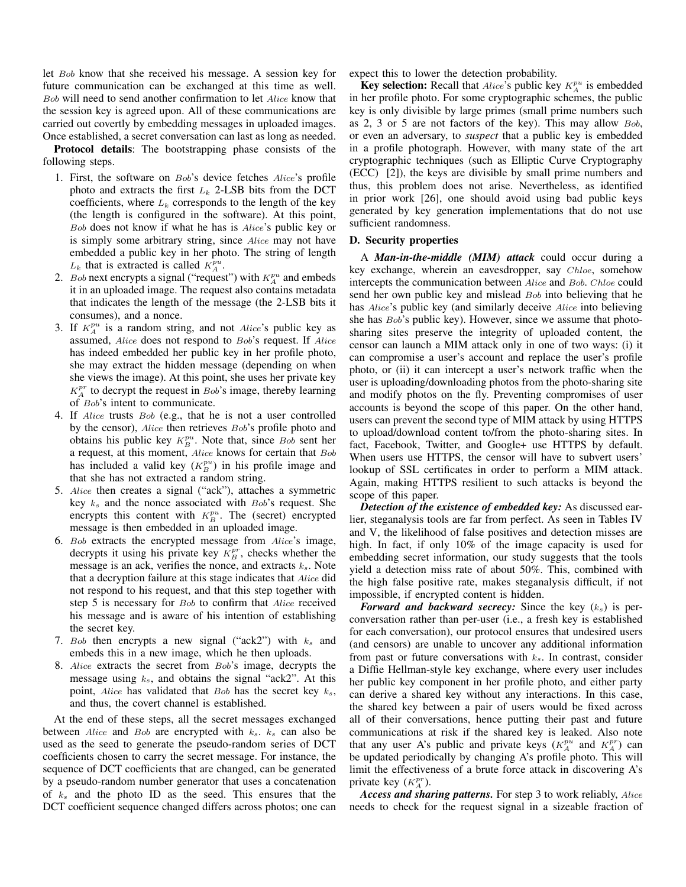let Bob know that she received his message. A session key for future communication can be exchanged at this time as well. Bob will need to send another confirmation to let Alice know that the session key is agreed upon. All of these communications are carried out covertly by embedding messages in uploaded images. Once established, a secret conversation can last as long as needed.

Protocol details: The bootstrapping phase consists of the following steps.

- 1. First, the software on Bob's device fetches Alice's profile photo and extracts the first  $L_k$  2-LSB bits from the DCT coefficients, where  $L_k$  corresponds to the length of the key (the length is configured in the software). At this point, Bob does not know if what he has is Alice's public key or is simply some arbitrary string, since Alice may not have embedded a public key in her photo. The string of length  $L_k$  that is extracted is called  $K_A^{pu}$ .
- 2. *Bob* next encrypts a signal ("request") with  $K_A^{pu}$  and embeds it in an uploaded image. The request also contains metadata that indicates the length of the message (the 2-LSB bits it consumes), and a nonce.
- 3. If  $K_A^{pu}$  is a random string, and not Alice's public key as assumed, Alice does not respond to Bob's request. If Alice has indeed embedded her public key in her profile photo, she may extract the hidden message (depending on when she views the image). At this point, she uses her private key  $K_A^{pr}$  to decrypt the request in  $Bob$ 's image, thereby learning of Bob's intent to communicate.
- 4. If Alice trusts Bob (e.g., that he is not a user controlled by the censor), Alice then retrieves Bob's profile photo and obtains his public key  $K_B^{pu}$ . Note that, since Bob sent her a request, at this moment, Alice knows for certain that Bob has included a valid key  $(K_B^{pu})$  in his profile image and that she has not extracted a random string.
- 5. Alice then creates a signal ("ack"), attaches a symmetric key  $k_s$  and the nonce associated with  $Bob's$  request. She encrypts this content with  $K_B^{pu}$ . The (secret) encrypted message is then embedded in an uploaded image.
- 6. Bob extracts the encrypted message from Alice's image, decrypts it using his private key  $K_B^{pr}$ , checks whether the message is an ack, verifies the nonce, and extracts  $k_s$ . Note that a decryption failure at this stage indicates that Alice did not respond to his request, and that this step together with step 5 is necessary for Bob to confirm that Alice received his message and is aware of his intention of establishing the secret key.
- 7. Bob then encrypts a new signal (" $ack2"$ ") with  $k_s$  and embeds this in a new image, which he then uploads.
- 8. Alice extracts the secret from Bob's image, decrypts the message using  $k_s$ , and obtains the signal "ack2". At this point, Alice has validated that Bob has the secret key  $k_s$ , and thus, the covert channel is established.

At the end of these steps, all the secret messages exchanged between Alice and Bob are encrypted with  $k_s$ .  $k_s$  can also be used as the seed to generate the pseudo-random series of DCT coefficients chosen to carry the secret message. For instance, the sequence of DCT coefficients that are changed, can be generated by a pseudo-random number generator that uses a concatenation of  $k_s$  and the photo ID as the seed. This ensures that the DCT coefficient sequence changed differs across photos; one can expect this to lower the detection probability.

**Key selection:** Recall that *Alice's* public key  $K_A^{pu}$  is embedded in her profile photo. For some cryptographic schemes, the public key is only divisible by large primes (small prime numbers such as 2, 3 or 5 are not factors of the key). This may allow Bob, or even an adversary, to *suspect* that a public key is embedded in a profile photograph. However, with many state of the art cryptographic techniques (such as Elliptic Curve Cryptography (ECC) [2]), the keys are divisible by small prime numbers and thus, this problem does not arise. Nevertheless, as identified in prior work [26], one should avoid using bad public keys generated by key generation implementations that do not use sufficient randomness.

# D. Security properties

A *Man-in-the-middle (MIM) attack* could occur during a key exchange, wherein an eavesdropper, say Chloe, somehow intercepts the communication between Alice and Bob. Chloe could send her own public key and mislead Bob into believing that he has *Alice's* public key (and similarly deceive *Alice* into believing she has Bob's public key). However, since we assume that photosharing sites preserve the integrity of uploaded content, the censor can launch a MIM attack only in one of two ways: (i) it can compromise a user's account and replace the user's profile photo, or (ii) it can intercept a user's network traffic when the user is uploading/downloading photos from the photo-sharing site and modify photos on the fly. Preventing compromises of user accounts is beyond the scope of this paper. On the other hand, users can prevent the second type of MIM attack by using HTTPS to upload/download content to/from the photo-sharing sites. In fact, Facebook, Twitter, and Google+ use HTTPS by default. When users use HTTPS, the censor will have to subvert users' lookup of SSL certificates in order to perform a MIM attack. Again, making HTTPS resilient to such attacks is beyond the scope of this paper.

*Detection of the existence of embedded key:* As discussed earlier, steganalysis tools are far from perfect. As seen in Tables IV and V, the likelihood of false positives and detection misses are high. In fact, if only 10% of the image capacity is used for embedding secret information, our study suggests that the tools yield a detection miss rate of about 50%. This, combined with the high false positive rate, makes steganalysis difficult, if not impossible, if encrypted content is hidden.

*Forward and backward secrecy:* Since the key  $(k<sub>s</sub>)$  is perconversation rather than per-user (i.e., a fresh key is established for each conversation), our protocol ensures that undesired users (and censors) are unable to uncover any additional information from past or future conversations with  $k_s$ . In contrast, consider a Diffie Hellman-style key exchange, where every user includes her public key component in her profile photo, and either party can derive a shared key without any interactions. In this case, the shared key between a pair of users would be fixed across all of their conversations, hence putting their past and future communications at risk if the shared key is leaked. Also note that any user A's public and private keys  $(K_A^{pu}$  and  $K_A^{pr})$  can be updated periodically by changing A's profile photo. This will limit the effectiveness of a brute force attack in discovering A's private key  $(K_A^{pr})$ .

*Access and sharing patterns.* For step 3 to work reliably, Alice needs to check for the request signal in a sizeable fraction of